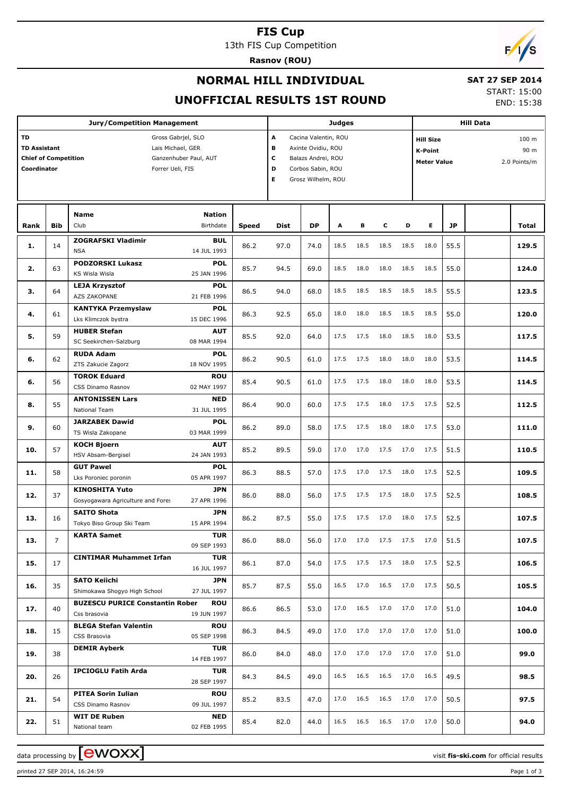#### **FIS Cup**

13th FIS Cup Competition

**Rasnov (ROU)**



#### **NORMAL HILL INDIVIDUAL**

## **SAT 27 SEP 2014**

**UNOFFICIAL RESULTS 1ST ROUND**

START: 15:00 END: 15:38

|           |                                                                                                                                                                                                                                                                                                                       | <b>Jury/Competition Management</b>                                            |              |      |                      | <b>Judges</b> |           |                                                                                                                                                                                                                                                                                                                                                                                                                                                                                                                                                                                                                                                                                                                                                                                                                                                                                                                                                                  |      |                |      |       |
|-----------|-----------------------------------------------------------------------------------------------------------------------------------------------------------------------------------------------------------------------------------------------------------------------------------------------------------------------|-------------------------------------------------------------------------------|--------------|------|----------------------|---------------|-----------|------------------------------------------------------------------------------------------------------------------------------------------------------------------------------------------------------------------------------------------------------------------------------------------------------------------------------------------------------------------------------------------------------------------------------------------------------------------------------------------------------------------------------------------------------------------------------------------------------------------------------------------------------------------------------------------------------------------------------------------------------------------------------------------------------------------------------------------------------------------------------------------------------------------------------------------------------------------|------|----------------|------|-------|
| <b>TD</b> |                                                                                                                                                                                                                                                                                                                       | Gross Gabrjel, SLO                                                            |              | A    | Cacina Valentin, ROU |               |           |                                                                                                                                                                                                                                                                                                                                                                                                                                                                                                                                                                                                                                                                                                                                                                                                                                                                                                                                                                  |      |                |      | 100 m |
|           |                                                                                                                                                                                                                                                                                                                       | Lais Michael, GER                                                             |              | в    | Axinte Ovidiu, ROU   |               |           |                                                                                                                                                                                                                                                                                                                                                                                                                                                                                                                                                                                                                                                                                                                                                                                                                                                                                                                                                                  |      |                |      |       |
|           |                                                                                                                                                                                                                                                                                                                       | Ganzenhuber Paul, AUT                                                         |              | с    | Balazs Andrei, ROU   |               |           |                                                                                                                                                                                                                                                                                                                                                                                                                                                                                                                                                                                                                                                                                                                                                                                                                                                                                                                                                                  |      |                |      |       |
|           |                                                                                                                                                                                                                                                                                                                       | Forrer Ueli, FIS                                                              |              | D    | Corbos Sabin, ROU    |               |           |                                                                                                                                                                                                                                                                                                                                                                                                                                                                                                                                                                                                                                                                                                                                                                                                                                                                                                                                                                  |      |                |      |       |
|           |                                                                                                                                                                                                                                                                                                                       |                                                                               |              | Е    | Grosz Wilhelm, ROU   |               |           |                                                                                                                                                                                                                                                                                                                                                                                                                                                                                                                                                                                                                                                                                                                                                                                                                                                                                                                                                                  |      |                |      |       |
|           |                                                                                                                                                                                                                                                                                                                       |                                                                               |              |      |                      |               |           |                                                                                                                                                                                                                                                                                                                                                                                                                                                                                                                                                                                                                                                                                                                                                                                                                                                                                                                                                                  |      |                |      |       |
|           |                                                                                                                                                                                                                                                                                                                       |                                                                               |              |      |                      |               |           |                                                                                                                                                                                                                                                                                                                                                                                                                                                                                                                                                                                                                                                                                                                                                                                                                                                                                                                                                                  |      |                |      |       |
|           |                                                                                                                                                                                                                                                                                                                       | <b>Name</b><br><b>Nation</b>                                                  |              |      |                      |               |           |                                                                                                                                                                                                                                                                                                                                                                                                                                                                                                                                                                                                                                                                                                                                                                                                                                                                                                                                                                  |      |                |      |       |
|           |                                                                                                                                                                                                                                                                                                                       | Birthdate                                                                     | <b>Speed</b> | Dist | <b>DP</b>            | A             | в         |                                                                                                                                                                                                                                                                                                                                                                                                                                                                                                                                                                                                                                                                                                                                                                                                                                                                                                                                                                  |      |                |      |       |
|           |                                                                                                                                                                                                                                                                                                                       | <b>ZOGRAFSKI Vladimir</b><br><b>BUL</b>                                       | 86.2         | 97.0 | 74.0                 | 18.5          | 18.5      |                                                                                                                                                                                                                                                                                                                                                                                                                                                                                                                                                                                                                                                                                                                                                                                                                                                                                                                                                                  |      | 18.0           |      |       |
|           |                                                                                                                                                                                                                                                                                                                       | 14 JUL 1993<br><b>NSA</b>                                                     |              |      |                      |               |           | <b>Hill Data</b><br><b>Hill Size</b><br>90 m<br>K-Point<br><b>Meter Value</b><br>2.0 Points/m<br>E.<br>с<br>D<br>JP<br>Total<br>18.5<br>18.5<br>55.5<br>129.5<br>18.0<br>18.5<br>18.5<br>55.0<br>124.0<br>18.5<br>18.5<br>55.5<br>123.5<br>18.5<br>18.5<br>18.5<br>55.0<br>120.0<br>18.5<br>18.0<br>18.5<br>18.0<br>53.5<br>117.5<br>18.0<br>18.0<br>18.0<br>53.5<br>114.5<br>18.0<br>18.0<br>18.0<br>53.5<br>114.5<br>18.0<br>17.5<br>52.5<br>112.5<br>17.5<br>18.0<br>18.0<br>17.5<br>53.0<br>111.0<br>17.5<br>17.0<br>17.5<br>51.5<br>110.5<br>17.5<br>18.0<br>17.5<br>52.5<br>109.5<br>17.5<br>18.0<br>17.5<br>52.5<br>108.5<br>17.0<br>18.0<br>17.5<br>52.5<br>107.5<br>51.5<br>$17.0 \qquad 17.0 \qquad 17.5 \qquad 17.5 \qquad 17.0$<br>107.5<br>17.5<br>18.0<br>17.5<br>52.5<br>106.5<br>16.5<br>17.0<br>105.5<br>17.5<br>50.5<br>17.0<br>17.0<br>17.0<br>51.0<br>104.0<br>17.0<br>17.0<br>17.0<br>51.0<br>100.0<br>17.0<br>17.0<br>17.0<br>51.0<br>99.0 |      |                |      |       |
| 2.        | 63                                                                                                                                                                                                                                                                                                                    | <b>PODZORSKI Lukasz</b><br><b>POL</b>                                         | 85.7         | 94.5 | 69.0                 | 18.5          | 18.0      |                                                                                                                                                                                                                                                                                                                                                                                                                                                                                                                                                                                                                                                                                                                                                                                                                                                                                                                                                                  |      |                |      |       |
|           |                                                                                                                                                                                                                                                                                                                       | 25 JAN 1996<br>KS Wisla Wisla                                                 |              |      |                      |               |           |                                                                                                                                                                                                                                                                                                                                                                                                                                                                                                                                                                                                                                                                                                                                                                                                                                                                                                                                                                  |      |                |      |       |
| з.        | <b>TD Assistant</b><br><b>Chief of Competition</b><br>Coordinator<br><b>Bib</b><br>Club<br>Rank<br>14<br>1.<br>64<br>4.<br>61<br>59<br>5.<br>62<br>6.<br>56<br>6.<br>55<br>8.<br>9.<br>60<br>57<br>10.<br>11.<br>58<br>37<br>12.<br>13.<br>16<br>13.<br>17<br>15.<br>16.<br>35<br>17.<br>40<br>18.<br>15<br>19.<br>38 | <b>POL</b><br><b>LEJA Krzysztof</b>                                           | 86.5         | 94.0 | 68.0                 | 18.5          | 18.5      |                                                                                                                                                                                                                                                                                                                                                                                                                                                                                                                                                                                                                                                                                                                                                                                                                                                                                                                                                                  |      |                |      |       |
|           |                                                                                                                                                                                                                                                                                                                       | AZS ZAKOPANE<br>21 FEB 1996                                                   |              |      |                      |               |           |                                                                                                                                                                                                                                                                                                                                                                                                                                                                                                                                                                                                                                                                                                                                                                                                                                                                                                                                                                  |      |                |      |       |
|           |                                                                                                                                                                                                                                                                                                                       | <b>POL</b><br><b>KANTYKA Przemyslaw</b><br>15 DEC 1996<br>Lks Klimczok bystra | 86.3         | 92.5 | 65.0                 | 18.0          | 18.0      |                                                                                                                                                                                                                                                                                                                                                                                                                                                                                                                                                                                                                                                                                                                                                                                                                                                                                                                                                                  |      |                |      |       |
|           |                                                                                                                                                                                                                                                                                                                       | <b>AUT</b><br><b>HUBER Stefan</b>                                             |              |      |                      |               |           |                                                                                                                                                                                                                                                                                                                                                                                                                                                                                                                                                                                                                                                                                                                                                                                                                                                                                                                                                                  |      |                |      |       |
|           |                                                                                                                                                                                                                                                                                                                       | 08 MAR 1994<br>SC Seekirchen-Salzburg                                         | 85.5         | 92.0 | 64.0                 | 17.5          | 17.5      |                                                                                                                                                                                                                                                                                                                                                                                                                                                                                                                                                                                                                                                                                                                                                                                                                                                                                                                                                                  |      |                |      |       |
|           |                                                                                                                                                                                                                                                                                                                       | <b>POL</b><br><b>RUDA Adam</b>                                                |              |      |                      |               |           |                                                                                                                                                                                                                                                                                                                                                                                                                                                                                                                                                                                                                                                                                                                                                                                                                                                                                                                                                                  |      |                |      |       |
|           |                                                                                                                                                                                                                                                                                                                       | ZTS Zakucie Zagorz<br>18 NOV 1995                                             | 86.2         | 90.5 | 61.0                 | 17.5          | 17.5      |                                                                                                                                                                                                                                                                                                                                                                                                                                                                                                                                                                                                                                                                                                                                                                                                                                                                                                                                                                  |      |                |      |       |
|           |                                                                                                                                                                                                                                                                                                                       | <b>TOROK Eduard</b><br><b>ROU</b>                                             |              |      |                      |               |           |                                                                                                                                                                                                                                                                                                                                                                                                                                                                                                                                                                                                                                                                                                                                                                                                                                                                                                                                                                  |      |                |      |       |
|           |                                                                                                                                                                                                                                                                                                                       | 02 MAY 1997<br>CSS Dinamo Rasnov                                              | 85.4         | 90.5 | 61.0                 | 17.5          | 17.5      |                                                                                                                                                                                                                                                                                                                                                                                                                                                                                                                                                                                                                                                                                                                                                                                                                                                                                                                                                                  |      |                |      |       |
|           |                                                                                                                                                                                                                                                                                                                       | <b>ANTONISSEN Lars</b><br><b>NED</b>                                          |              |      |                      | 17.5          | 17.5      |                                                                                                                                                                                                                                                                                                                                                                                                                                                                                                                                                                                                                                                                                                                                                                                                                                                                                                                                                                  |      |                |      |       |
|           |                                                                                                                                                                                                                                                                                                                       | National Team<br>31 JUL 1995                                                  | 86.4         | 90.0 | 60.0                 |               |           |                                                                                                                                                                                                                                                                                                                                                                                                                                                                                                                                                                                                                                                                                                                                                                                                                                                                                                                                                                  |      |                |      |       |
|           |                                                                                                                                                                                                                                                                                                                       | <b>JARZABEK Dawid</b><br><b>POL</b>                                           | 86.2         | 89.0 | 58.0                 | 17.5          | 17.5      |                                                                                                                                                                                                                                                                                                                                                                                                                                                                                                                                                                                                                                                                                                                                                                                                                                                                                                                                                                  |      |                |      |       |
|           |                                                                                                                                                                                                                                                                                                                       | TS Wisla Zakopane<br>03 MAR 1999                                              |              |      |                      |               |           |                                                                                                                                                                                                                                                                                                                                                                                                                                                                                                                                                                                                                                                                                                                                                                                                                                                                                                                                                                  |      |                |      |       |
|           |                                                                                                                                                                                                                                                                                                                       | <b>KOCH Bjoern</b><br><b>AUT</b>                                              | 85.2         | 89.5 | 59.0                 | 17.0          | 17.0      |                                                                                                                                                                                                                                                                                                                                                                                                                                                                                                                                                                                                                                                                                                                                                                                                                                                                                                                                                                  |      |                |      |       |
|           |                                                                                                                                                                                                                                                                                                                       | 24 JAN 1993<br>HSV Absam-Bergisel                                             |              |      |                      |               |           |                                                                                                                                                                                                                                                                                                                                                                                                                                                                                                                                                                                                                                                                                                                                                                                                                                                                                                                                                                  |      |                |      |       |
|           |                                                                                                                                                                                                                                                                                                                       | <b>GUT Pawel</b><br><b>POL</b>                                                | 86.3         | 88.5 | 57.0                 | 17.5          | 17.0      |                                                                                                                                                                                                                                                                                                                                                                                                                                                                                                                                                                                                                                                                                                                                                                                                                                                                                                                                                                  |      |                |      |       |
|           |                                                                                                                                                                                                                                                                                                                       | 05 APR 1997<br>Lks Poroniec poronin<br><b>JPN</b>                             |              |      |                      |               |           |                                                                                                                                                                                                                                                                                                                                                                                                                                                                                                                                                                                                                                                                                                                                                                                                                                                                                                                                                                  |      |                |      |       |
|           |                                                                                                                                                                                                                                                                                                                       | <b>KINOSHITA Yuto</b><br>Gosyogawara Agriculture and Fores<br>27 APR 1996     | 86.0         | 88.0 | 56.0                 | 17.5          | 17.5      |                                                                                                                                                                                                                                                                                                                                                                                                                                                                                                                                                                                                                                                                                                                                                                                                                                                                                                                                                                  |      |                |      |       |
|           |                                                                                                                                                                                                                                                                                                                       | <b>SAITO Shota</b><br>JPN                                                     |              |      |                      |               |           |                                                                                                                                                                                                                                                                                                                                                                                                                                                                                                                                                                                                                                                                                                                                                                                                                                                                                                                                                                  |      |                |      |       |
|           |                                                                                                                                                                                                                                                                                                                       | 15 APR 1994<br>Tokyo Biso Group Ski Team                                      | 86.2         | 87.5 | 55.0                 | 17.5          | 17.5      |                                                                                                                                                                                                                                                                                                                                                                                                                                                                                                                                                                                                                                                                                                                                                                                                                                                                                                                                                                  |      |                |      |       |
|           |                                                                                                                                                                                                                                                                                                                       | <b>TUR</b><br><b>KARTA Samet</b>                                              |              |      |                      |               |           |                                                                                                                                                                                                                                                                                                                                                                                                                                                                                                                                                                                                                                                                                                                                                                                                                                                                                                                                                                  |      |                |      |       |
|           |                                                                                                                                                                                                                                                                                                                       | 09 SEP 1993                                                                   | 86.0         | 88.0 | 56.0                 |               |           |                                                                                                                                                                                                                                                                                                                                                                                                                                                                                                                                                                                                                                                                                                                                                                                                                                                                                                                                                                  |      |                |      |       |
|           |                                                                                                                                                                                                                                                                                                                       | <b>CINTIMAR Muhammet Irfan</b><br><b>TUR</b>                                  |              |      |                      |               |           |                                                                                                                                                                                                                                                                                                                                                                                                                                                                                                                                                                                                                                                                                                                                                                                                                                                                                                                                                                  |      |                |      |       |
|           |                                                                                                                                                                                                                                                                                                                       | 16 JUL 1997                                                                   | 86.1         | 87.0 | 54.0                 | 17.5          | 17.5      |                                                                                                                                                                                                                                                                                                                                                                                                                                                                                                                                                                                                                                                                                                                                                                                                                                                                                                                                                                  |      |                |      |       |
|           |                                                                                                                                                                                                                                                                                                                       | <b>SATO Keiichi</b><br><b>JPN</b>                                             | 85.7         | 87.5 | 55.0                 | 16.5          | 17.0      |                                                                                                                                                                                                                                                                                                                                                                                                                                                                                                                                                                                                                                                                                                                                                                                                                                                                                                                                                                  |      |                |      |       |
|           |                                                                                                                                                                                                                                                                                                                       | Shimokawa Shoqyo High School<br>27 JUL 1997                                   |              |      |                      |               |           |                                                                                                                                                                                                                                                                                                                                                                                                                                                                                                                                                                                                                                                                                                                                                                                                                                                                                                                                                                  |      |                |      |       |
|           |                                                                                                                                                                                                                                                                                                                       | <b>BUZESCU PURICE Constantin Rober</b><br><b>ROU</b>                          | 86.6         | 86.5 | 53.0                 | 17.0          | 16.5      |                                                                                                                                                                                                                                                                                                                                                                                                                                                                                                                                                                                                                                                                                                                                                                                                                                                                                                                                                                  |      |                |      |       |
|           |                                                                                                                                                                                                                                                                                                                       | Css brasovia<br>19 JUN 1997                                                   |              |      |                      |               |           |                                                                                                                                                                                                                                                                                                                                                                                                                                                                                                                                                                                                                                                                                                                                                                                                                                                                                                                                                                  |      |                |      |       |
|           |                                                                                                                                                                                                                                                                                                                       | <b>BLEGA Stefan Valentin</b><br><b>ROU</b>                                    | 86.3         | 84.5 | 49.0                 | 17.0          | 17.0      |                                                                                                                                                                                                                                                                                                                                                                                                                                                                                                                                                                                                                                                                                                                                                                                                                                                                                                                                                                  |      |                |      |       |
|           |                                                                                                                                                                                                                                                                                                                       | 05 SEP 1998<br>CSS Brasovia                                                   |              |      |                      |               |           |                                                                                                                                                                                                                                                                                                                                                                                                                                                                                                                                                                                                                                                                                                                                                                                                                                                                                                                                                                  |      |                |      |       |
|           |                                                                                                                                                                                                                                                                                                                       | <b>DEMIR Ayberk</b><br><b>TUR</b>                                             | 86.0         | 84.0 | 48.0                 | 17.0          | 17.0      |                                                                                                                                                                                                                                                                                                                                                                                                                                                                                                                                                                                                                                                                                                                                                                                                                                                                                                                                                                  |      |                |      |       |
|           |                                                                                                                                                                                                                                                                                                                       | 14 FEB 1997                                                                   |              |      |                      |               |           |                                                                                                                                                                                                                                                                                                                                                                                                                                                                                                                                                                                                                                                                                                                                                                                                                                                                                                                                                                  |      |                |      |       |
| 20.       | 26                                                                                                                                                                                                                                                                                                                    | <b>IPCIOGLU Fatih Arda</b><br><b>TUR</b><br>28 SEP 1997                       | 84.3         | 84.5 | 49.0                 | 16.5          | 16.5      | 16.5                                                                                                                                                                                                                                                                                                                                                                                                                                                                                                                                                                                                                                                                                                                                                                                                                                                                                                                                                             | 17.0 | 16.5           | 49.5 | 98.5  |
|           |                                                                                                                                                                                                                                                                                                                       | <b>PITEA Sorin Iulian</b><br><b>ROU</b>                                       |              |      |                      |               |           |                                                                                                                                                                                                                                                                                                                                                                                                                                                                                                                                                                                                                                                                                                                                                                                                                                                                                                                                                                  |      |                |      |       |
| 21.       | 54                                                                                                                                                                                                                                                                                                                    | 09 JUL 1997<br>CSS Dinamo Rasnov                                              | 85.2         | 83.5 | 47.0                 | 17.0          | 16.5      | 16.5                                                                                                                                                                                                                                                                                                                                                                                                                                                                                                                                                                                                                                                                                                                                                                                                                                                                                                                                                             | 17.0 | 17.0           | 50.5 | 97.5  |
|           |                                                                                                                                                                                                                                                                                                                       | <b>WIT DE Ruben</b><br><b>NED</b>                                             |              |      |                      |               |           |                                                                                                                                                                                                                                                                                                                                                                                                                                                                                                                                                                                                                                                                                                                                                                                                                                                                                                                                                                  |      |                |      |       |
| 22.       | 51                                                                                                                                                                                                                                                                                                                    | 02 FEB 1995<br>National team                                                  | 85.4         | 82.0 | 44.0                 |               | 16.5 16.5 |                                                                                                                                                                                                                                                                                                                                                                                                                                                                                                                                                                                                                                                                                                                                                                                                                                                                                                                                                                  |      | 16.5 17.0 17.0 | 50.0 | 94.0  |

data processing by **CWOXX** and the set of the set of the set of the set of the set of the set of the set of the set of the set of the set of the set of the set of the set of the set of the set of the set of the set of the

printed 27 SEP 2014, 16:24:59 Page 1 of 3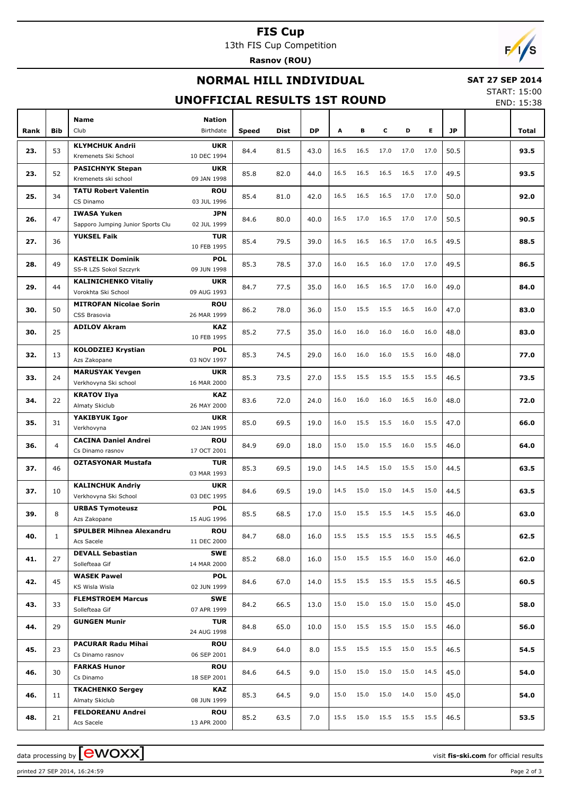### **FIS Cup**

13th FIS Cup Competition

**Rasnov (ROU)**

## $F/1/s$

#### **NORMAL HILL INDIVIDUAL**

#### **SAT 27 SEP 2014**

#### **UNOFFICIAL RESULTS 1ST ROUND**

START: 15:00 END: 15:38

|      |                | Name                                             | <b>Nation</b>             |              |      |      |      |                          |           |           |      |           |       |
|------|----------------|--------------------------------------------------|---------------------------|--------------|------|------|------|--------------------------|-----------|-----------|------|-----------|-------|
| Rank | <b>Bib</b>     | Club                                             | Birthdate                 | <b>Speed</b> | Dist | DP   | Α    | в                        | c         | D         | Е    | <b>JP</b> | Total |
| 23.  | 53             | <b>KLYMCHUK Andrii</b>                           | <b>UKR</b>                | 84.4         | 81.5 | 43.0 | 16.5 | 16.5                     | 17.0      | 17.0      | 17.0 | 50.5      | 93.5  |
|      |                | Kremenets Ski School                             | 10 DEC 1994               |              |      |      |      |                          |           |           |      |           |       |
| 23.  | 52             | <b>PASICHNYK Stepan</b><br>Kremenets ski school  | <b>UKR</b><br>09 JAN 1998 | 85.8         | 82.0 | 44.0 | 16.5 | 16.5                     | 16.5      | 16.5      | 17.0 | 49.5      | 93.5  |
|      |                | <b>TATU Robert Valentin</b>                      | <b>ROU</b>                |              |      |      |      |                          |           |           |      |           |       |
| 25.  | 34             | CS Dinamo                                        | 03 JUL 1996               | 85.4         | 81.0 | 42.0 | 16.5 | 16.5                     | 16.5      | 17.0      | 17.0 | 50.0      | 92.0  |
|      |                | <b>IWASA Yuken</b>                               | <b>JPN</b>                |              |      |      |      |                          |           |           |      |           |       |
| 26.  | 47             | Sapporo Jumping Junior Sports Clu                | 02 JUL 1999               | 84.6         | 80.0 | 40.0 | 16.5 | 17.0                     | 16.5      | 17.0      | 17.0 | 50.5      | 90.5  |
|      | 36             | <b>YUKSEL Faik</b>                               | <b>TUR</b>                |              |      |      | 16.5 | 16.5                     | 16.5      | 17.0      | 16.5 | 49.5      |       |
| 27.  |                |                                                  | 10 FEB 1995               | 85.4         | 79.5 | 39.0 |      |                          |           |           |      |           | 88.5  |
| 28.  | 49             | <b>KASTELIK Dominik</b>                          | POL                       | 85.3         | 78.5 | 37.0 | 16.0 | 16.5                     | 16.0      | 17.0      | 17.0 | 49.5      | 86.5  |
|      |                | SS-R LZS Sokol Szczyrk                           | 09 JUN 1998               |              |      |      |      |                          |           |           |      |           |       |
| 29.  | 44             | <b>KALINICHENKO Vitaliy</b>                      | <b>UKR</b>                | 84.7         | 77.5 | 35.0 | 16.0 | 16.5                     | 16.5      | 17.0      | 16.0 | 49.0      | 84.0  |
|      |                | Vorokhta Ski School                              | 09 AUG 1993               |              |      |      |      |                          |           |           |      |           |       |
| 30.  | 50             | <b>MITROFAN Nicolae Sorin</b>                    | <b>ROU</b>                | 86.2         | 78.0 | 36.0 | 15.0 | 15.5                     | 15.5      | 16.5      | 16.0 | 47.0      | 83.0  |
|      |                | CSS Brasovia<br><b>ADILOV Akram</b>              | 26 MAR 1999               |              |      |      |      |                          |           |           |      |           |       |
| 30.  | 25             |                                                  | KAZ<br>10 FEB 1995        | 85.2         | 77.5 | 35.0 | 16.0 | 16.0                     | 16.0      | 16.0      | 16.0 | 48.0      | 83.0  |
|      |                | <b>KOLODZIEJ Krystian</b>                        | POL                       |              |      |      |      |                          |           |           |      |           |       |
| 32.  | 13             | Azs Zakopane                                     | 03 NOV 1997               | 85.3         | 74.5 | 29.0 | 16.0 | 16.0                     | 16.0      | 15.5      | 16.0 | 48.0      | 77.0  |
|      |                | <b>MARUSYAK Yevgen</b>                           | <b>UKR</b>                |              |      |      |      |                          |           |           |      |           |       |
| 33.  | 24             | Verkhovyna Ski school                            | 16 MAR 2000               | 85.3         | 73.5 | 27.0 | 15.5 | 15.5                     | 15.5      | 15.5      | 15.5 | 46.5      | 73.5  |
|      |                | <b>KRATOV Ilya</b>                               | KAZ                       |              |      |      |      |                          |           |           |      |           |       |
| 34.  | 22             | Almaty Skiclub                                   | 26 MAY 2000               | 83.6         | 72.0 | 24.0 | 16.0 | 16.0                     | 16.0      | 16.5      | 16.0 | 48.0      | 72.0  |
| 35.  | 31             | YAKIBYUK Igor                                    | <b>UKR</b>                | 85.0         | 69.5 | 19.0 | 16.0 | 15.5                     | 15.5      | 16.0      | 15.5 | 47.0      | 66.0  |
|      |                | Verkhovyna                                       | 02 JAN 1995               |              |      |      |      |                          |           |           |      |           |       |
| 36.  | $\overline{4}$ | <b>CACINA Daniel Andrei</b>                      | <b>ROU</b>                | 84.9         | 69.0 | 18.0 | 15.0 | 15.0                     | 15.5      | 16.0      | 15.5 | 46.0      | 64.0  |
|      |                | Cs Dinamo rasnov                                 | 17 OCT 2001               |              |      |      |      |                          |           |           |      |           |       |
| 37.  | 46             | <b>OZTASYONAR Mustafa</b>                        | <b>TUR</b>                | 85.3         | 69.5 | 19.0 | 14.5 | 14.5                     | 15.0      | 15.5      | 15.0 | 44.5      | 63.5  |
|      |                |                                                  | 03 MAR 1993               |              |      |      |      |                          |           |           |      |           |       |
| 37.  | 10             | <b>KALINCHUK Andriy</b><br>Verkhovyna Ski School | <b>UKR</b><br>03 DEC 1995 | 84.6         | 69.5 | 19.0 | 14.5 | 15.0                     | 15.0      | 14.5      | 15.0 | 44.5      | 63.5  |
|      |                | <b>URBAS Tymoteusz</b>                           | <b>POL</b>                |              |      |      |      |                          |           |           |      |           |       |
| 39.  | 8              | Azs Zakopane                                     | 15 AUG 1996               | 85.5         | 68.5 | 17.0 | 15.0 | 15.5                     | 15.5      | 14.5      | 15.5 | 46.0      | 63.0  |
|      |                | <b>SPULBER Mihnea Alexandru</b>                  | ROU                       |              |      |      |      |                          |           |           |      |           |       |
| 40.  | $\mathbf{1}$   | Acs Sacele                                       | 11 DEC 2000               | 84.7         | 68.0 | 16.0 |      | 15.5 15.5 15.5 15.5 15.5 |           |           |      | 46.5      | 62.5  |
| 41.  | 27             | <b>DEVALL Sebastian</b>                          | <b>SWE</b>                | 85.2         | 68.0 |      | 15.0 | 15.5                     | 15.5      | 16.0      | 15.0 | 46.0      | 62.0  |
|      |                | Sollefteaa Gif                                   | 14 MAR 2000               |              |      | 16.0 |      |                          |           |           |      |           |       |
| 42.  | 45             | <b>WASEK Pawel</b>                               | <b>POL</b>                | 84.6         | 67.0 | 14.0 | 15.5 | 15.5                     | 15.5      | 15.5      | 15.5 | 46.5      | 60.5  |
|      |                | KS Wisla Wisla                                   | 02 JUN 1999               |              |      |      |      |                          |           |           |      |           |       |
| 43.  | 33             | <b>FLEMSTROEM Marcus</b>                         | SWE                       | 84.2         | 66.5 | 13.0 | 15.0 | 15.0                     | 15.0      | 15.0      | 15.0 | 45.0      | 58.0  |
|      |                | Sollefteaa Gif                                   | 07 APR 1999               |              |      |      |      |                          |           |           |      |           |       |
| 44.  | 29             | <b>GUNGEN Munir</b>                              | <b>TUR</b><br>24 AUG 1998 | 84.8         | 65.0 | 10.0 | 15.0 | 15.5                     | 15.5      | 15.0      | 15.5 | 46.0      | 56.0  |
|      |                | <b>PACURAR Radu Mihai</b>                        | <b>ROU</b>                |              |      |      |      |                          |           |           |      |           |       |
| 45.  | 23             | Cs Dinamo rasnov                                 | 06 SEP 2001               | 84.9         | 64.0 | 8.0  | 15.5 | 15.5                     | 15.5      | 15.0      | 15.5 | 46.5      | 54.5  |
|      |                | <b>FARKAS Hunor</b>                              | <b>ROU</b>                |              |      |      |      |                          |           |           |      |           |       |
| 46.  | 30             | Cs Dinamo                                        | 18 SEP 2001               | 84.6         | 64.5 | 9.0  | 15.0 | 15.0                     | 15.0      | 15.0      | 14.5 | 45.0      | 54.0  |
|      |                | <b>TKACHENKO Sergey</b>                          | KAZ                       |              |      |      |      |                          |           |           |      |           |       |
| 46.  | 11             | Almaty Skiclub                                   | 08 JUN 1999               | 85.3         | 64.5 | 9.0  | 15.0 | 15.0                     | 15.0      | 14.0      | 15.0 | 45.0      | 54.0  |
|      |                | <b>FELDOREANU Andrei</b>                         | <b>ROU</b>                |              |      | 7.0  | 15.5 |                          | 15.0 15.5 | 15.5 15.5 |      | 46.5      |       |
| 48.  | 21             | Acs Sacele                                       | 13 APR 2000               | 85.2         | 63.5 |      |      |                          |           |           |      |           | 53.5  |

printed 27 SEP 2014, 16:24:59 Page 2 of 3

data processing by **CWOXX**  $\blacksquare$